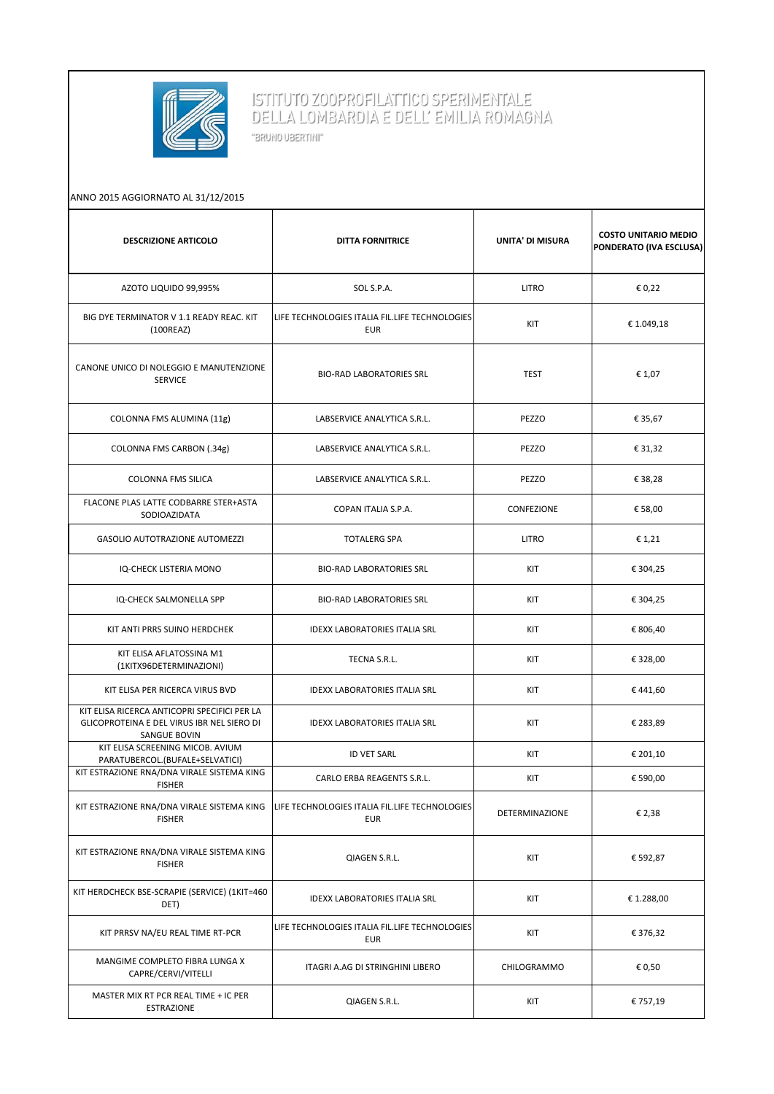

## ISTITUTO ZOOPROFILATTICO SPERIMENTALE<br>DELLA LOMBARDIA E DELL' EMILIA ROMAGNA

"BRUNO UBERTINI"

| ANNO 2015 AGGIORNATO AL 31/12/2015                                                                         |                                                              |                  |                                                        |  |
|------------------------------------------------------------------------------------------------------------|--------------------------------------------------------------|------------------|--------------------------------------------------------|--|
| <b>DESCRIZIONE ARTICOLO</b>                                                                                | <b>DITTA FORNITRICE</b>                                      | UNITA' DI MISURA | <b>COSTO UNITARIO MEDIO</b><br>PONDERATO (IVA ESCLUSA) |  |
| AZOTO LIQUIDO 99,995%                                                                                      | SOL S.P.A.                                                   | <b>LITRO</b>     | € 0,22                                                 |  |
| BIG DYE TERMINATOR V 1.1 READY REAC. KIT<br>(100REAZ)                                                      | LIFE TECHNOLOGIES ITALIA FIL.LIFE TECHNOLOGIES<br><b>EUR</b> | KIT              | €1.049,18                                              |  |
| CANONE UNICO DI NOLEGGIO E MANUTENZIONE<br><b>SERVICE</b>                                                  | <b>BIO-RAD LABORATORIES SRL</b>                              | <b>TEST</b>      | € 1,07                                                 |  |
| COLONNA FMS ALUMINA (11g)                                                                                  | LABSERVICE ANALYTICA S.R.L.                                  | PEZZO            | € 35,67                                                |  |
| COLONNA FMS CARBON (.34g)                                                                                  | LABSERVICE ANALYTICA S.R.L.                                  | PEZZO            | € 31,32                                                |  |
| <b>COLONNA FMS SILICA</b>                                                                                  | LABSERVICE ANALYTICA S.R.L.                                  | PEZZO            | € 38,28                                                |  |
| FLACONE PLAS LATTE CODBARRE STER+ASTA<br>SODIOAZIDATA                                                      | COPAN ITALIA S.P.A.                                          | CONFEZIONE       | € 58,00                                                |  |
| <b>GASOLIO AUTOTRAZIONE AUTOMEZZI</b>                                                                      | <b>TOTALERG SPA</b>                                          | <b>LITRO</b>     | € 1,21                                                 |  |
| IQ-CHECK LISTERIA MONO                                                                                     | <b>BIO-RAD LABORATORIES SRL</b>                              | KIT              | € 304,25                                               |  |
| IQ-CHECK SALMONELLA SPP                                                                                    | <b>BIO-RAD LABORATORIES SRL</b>                              | KIT              | € 304,25                                               |  |
| KIT ANTI PRRS SUINO HERDCHEK                                                                               | <b>IDEXX LABORATORIES ITALIA SRL</b>                         | KIT              | € 806,40                                               |  |
| KIT ELISA AFLATOSSINA M1<br>(1KITX96DETERMINAZIONI)                                                        | TECNA S.R.L.                                                 | KIT              | € 328,00                                               |  |
| KIT ELISA PER RICERCA VIRUS BVD                                                                            | <b>IDEXX LABORATORIES ITALIA SRL</b>                         | KIT              | €441,60                                                |  |
| KIT ELISA RICERCA ANTICOPRI SPECIFICI PER LA<br>GLICOPROTEINA E DEL VIRUS IBR NEL SIERO DI<br>SANGUE BOVIN | <b>IDEXX LABORATORIES ITALIA SRL</b>                         | KIT              | € 283,89                                               |  |
| KIT ELISA SCREENING MICOB. AVIUM<br>PARATUBERCOL.(BUFALE+SELVATICI)                                        | <b>ID VET SARL</b>                                           | KIT              | € 201,10                                               |  |
| KIT ESTRAZIONE RNA/DNA VIRALE SISTEMA KING<br><b>FISHER</b>                                                | CARLO ERBA REAGENTS S.R.L.                                   | KIT              | € 590,00                                               |  |
| KIT ESTRAZIONE RNA/DNA VIRALE SISTEMA KING<br><b>FISHER</b>                                                | LIFE TECHNOLOGIES ITALIA FIL.LIFE TECHNOLOGIES<br><b>EUR</b> | DETERMINAZIONE   | € 2,38                                                 |  |
| KIT ESTRAZIONE RNA/DNA VIRALE SISTEMA KING<br><b>FISHER</b>                                                | QIAGEN S.R.L.                                                | KIT              | € 592,87                                               |  |
| KIT HERDCHECK BSE-SCRAPIE (SERVICE) (1KIT=460<br>DET)                                                      | <b>IDEXX LABORATORIES ITALIA SRL</b>                         | KIT              | € 1.288,00                                             |  |
| KIT PRRSV NA/EU REAL TIME RT-PCR                                                                           | LIFE TECHNOLOGIES ITALIA FIL.LIFE TECHNOLOGIES<br><b>EUR</b> | KIT              | € 376,32                                               |  |
| MANGIME COMPLETO FIBRA LUNGA X<br>CAPRE/CERVI/VITELLI                                                      | ITAGRI A.AG DI STRINGHINI LIBERO                             | CHILOGRAMMO      | € 0,50                                                 |  |
| MASTER MIX RT PCR REAL TIME + IC PER<br>ESTRAZIONE                                                         | QIAGEN S.R.L.                                                | KIT              | € 757,19                                               |  |